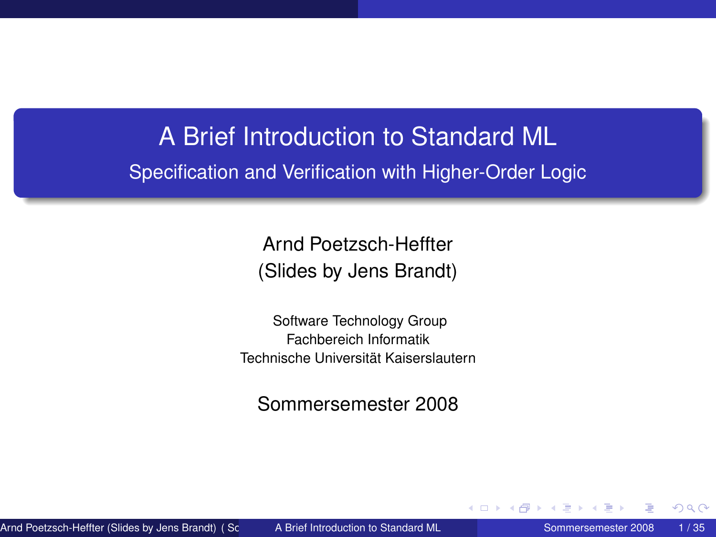# A Brief Introduction to Standard ML Specification and Verification with Higher-Order Logic

Arnd Poetzsch-Heffter (Slides by Jens Brandt)

Software Technology Group Fachbereich Informatik Technische Universität Kaiserslautern

<span id="page-0-0"></span>Sommersemester 2008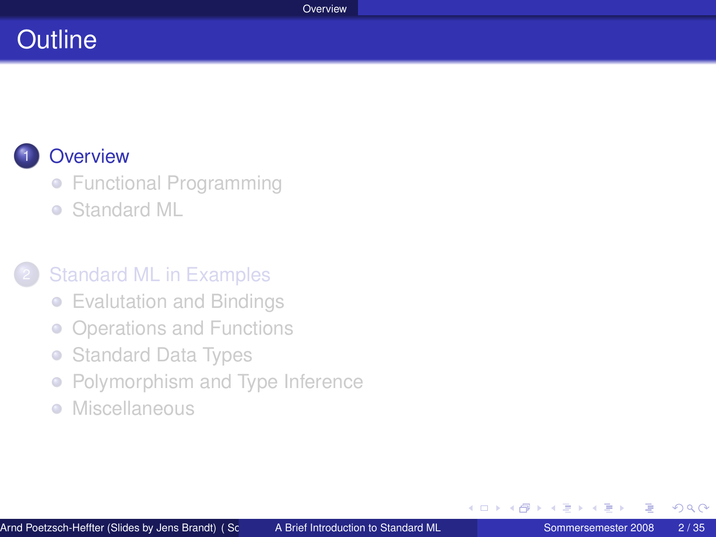### **Outline**

### **[Overview](#page-1-0)**

- **[Functional Programming](#page-2-0)**
- [Standard ML](#page-4-0)  $\bullet$

### **[Standard ML in Examples](#page-5-0)**

- [Evalutation and Bindings](#page-6-0)
- [Operations and Functions](#page-9-0)  $\bullet$
- [Standard Data Types](#page-21-0)  $\bullet$
- [Polymorphism and Type Inference](#page-28-0)  $\bullet$
- [Miscellaneous](#page-33-0)  $\begin{array}{c} \bullet \\ \bullet \end{array}$

<span id="page-1-0"></span> $\leftarrow$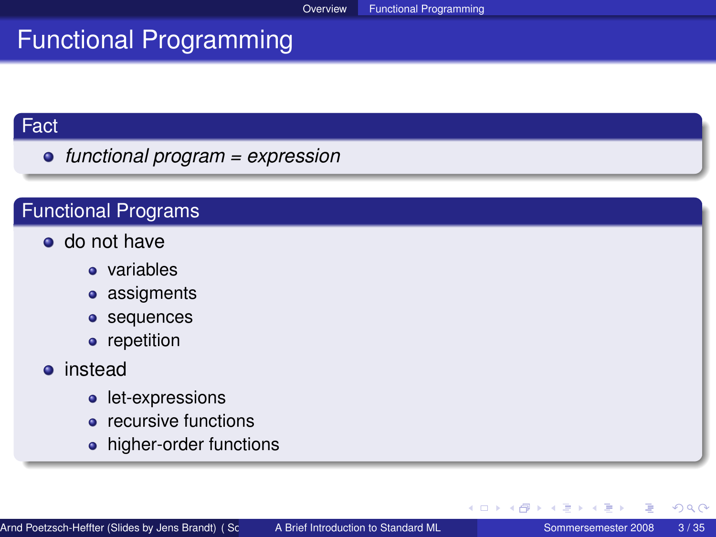### Functional Programming

#### Fact

*functional program = expression*

#### Functional Programs

- do not have
	- variables
	- assigments
	- **•** sequences
	- repetition

#### **o** instead

- let-expressions
- recursive functions
- higher-order functions

<span id="page-2-0"></span>∢ ロ ▶ ∢ 御 ▶ ∢ 重 ▶ ∢ 重 ▶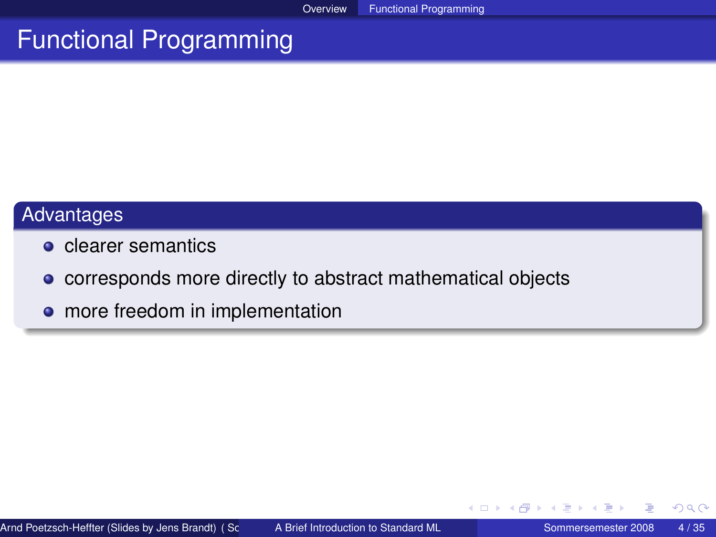### Functional Programming

### Advantages

- **o** clearer semantics
- corresponds more directly to abstract mathematical objects
- more freedom in implementation

4 0 8

 $\mathbf{p}$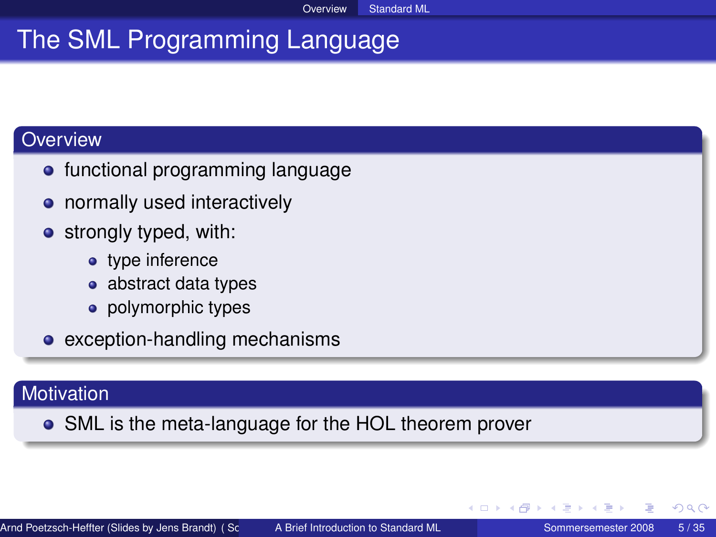Overview Standard ML

# The SML Programming Language

#### **Overview**

- functional programming language
- normally used interactively
- **•** strongly typed, with:
	- type inference
	- abstract data types
	- polymorphic types
- exception-handling mechanisms

#### **Motivation**

SML is the meta-language for the HOL theorem prover

4 0 8 4

<span id="page-4-0"></span>A + + 3 +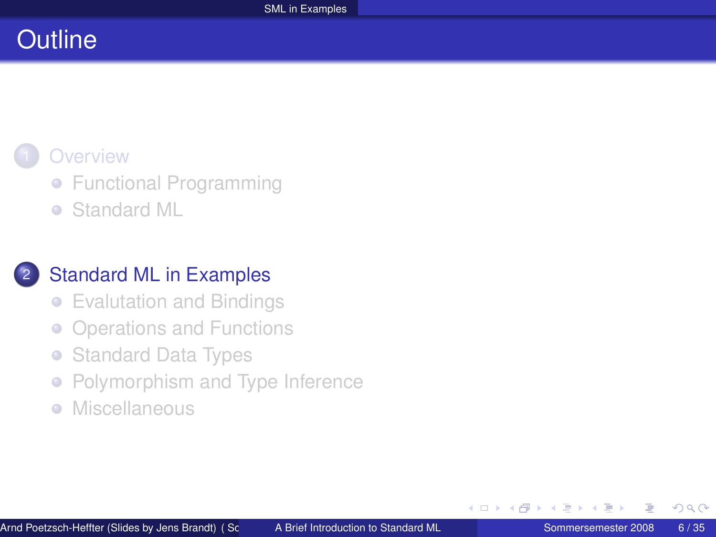# **Outline**

### **[Overview](#page-1-0)**

- **[Functional Programming](#page-2-0)**
- [Standard ML](#page-4-0)  $\bullet$

### **[Standard ML in Examples](#page-5-0)**

- [Evalutation and Bindings](#page-6-0)
- [Operations and Functions](#page-9-0)  $\bullet$
- [Standard Data Types](#page-21-0)  $\bullet$
- [Polymorphism and Type Inference](#page-28-0)  $\bullet$
- [Miscellaneous](#page-33-0)  $\begin{array}{c} \bullet \\ \bullet \end{array}$

<span id="page-5-0"></span> $\leftarrow$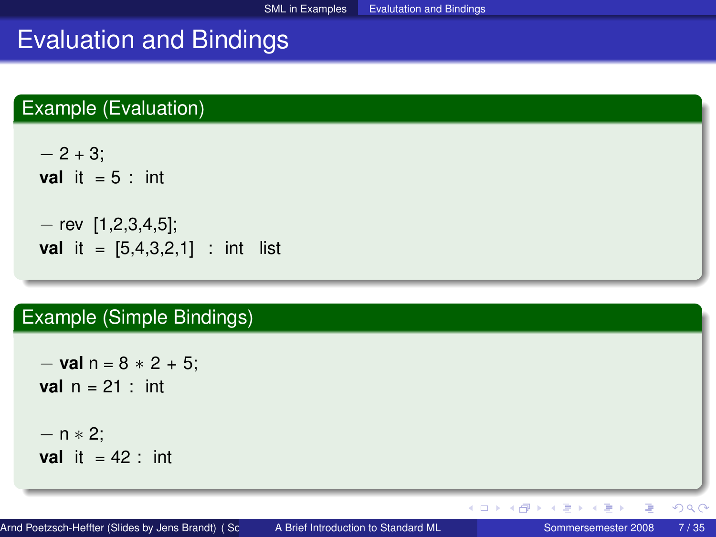## Evaluation and Bindings

### Example (Evaluation)

 $-2 + 3$ ; **val** it  $= 5$  : int  $-$  rev  $[1,2,3,4,5]$ ; **val** it =  $[5,4,3,2,1]$  : int list

### Example (Simple Bindings)

− **val** n = 8 ∗ 2 + 5; **val**  $n = 21$  : int  $- n * 2$ ; **val** it  $= 42$  : int

目

<span id="page-6-0"></span> $QQ$ 

イロト イ部 トイモ トイモト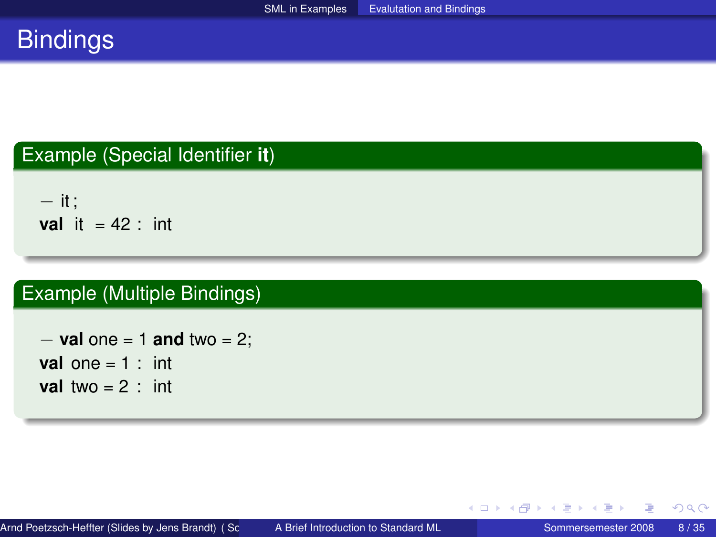# **Bindings**

### Example (Special Identifier **it**)

− it ; **val** it  $= 42$  : int

### Example (Multiple Bindings)

− **val** one = 1 **and** two = 2; **val** one  $= 1$  : int **val** two  $= 2$  : int

重

 $2Q$ 

イロト イ母 トイヨ トイヨ ト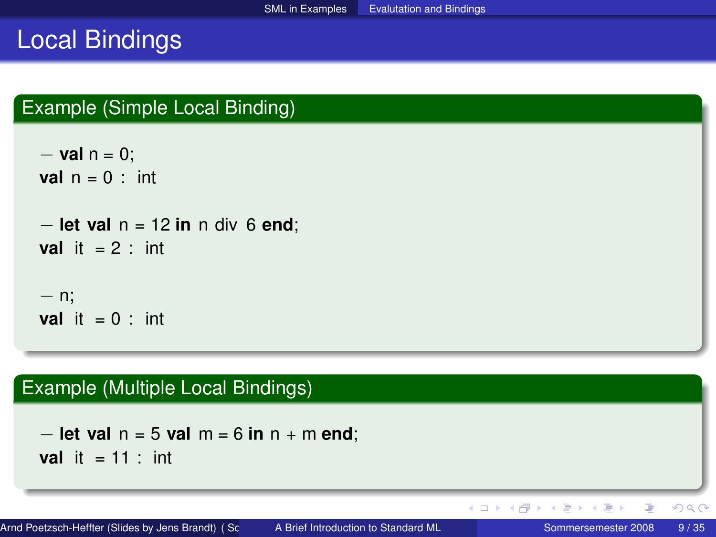### Local Bindings

### Example (Simple Local Binding)

```
− val n = 0;
val n = 0 : int
− let val n = 12 in n div 6 end;
val it = 2 : int
− n;
val it = 0 : int
```
### Example (Multiple Local Bindings)

```
− let val n = 5 val m = 6 in n + m end;
val it = 11 : int
```
Arnd Poetzsch-Heffter (Slides by Jens Brandt) (Sc and A Brief Introduction to Standard ML Sommersemester 2008 9/35

E

 $2Q$ 

イロト (個) (注) (注)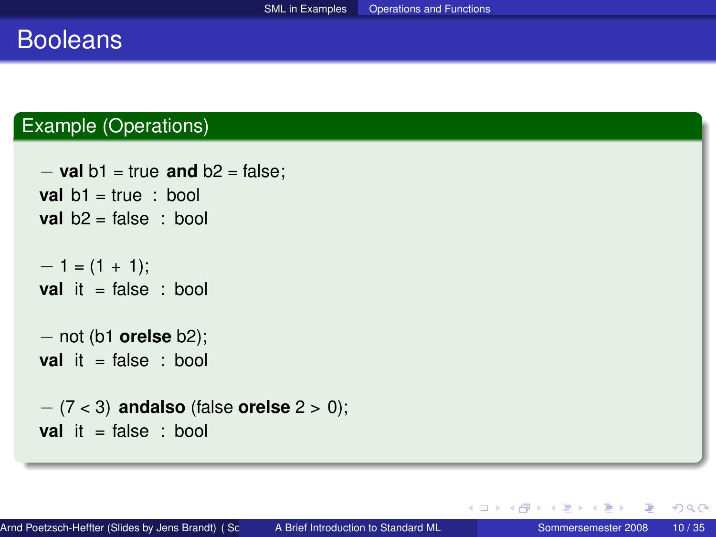### Booleans

#### Example (Operations)

```
− val b1 = true and b2 = false;
val b1 = true : bool
val b2 = false : bool
-1 = (1 + 1);val it = false : bool
− not (b1 orelse b2);
val it = false : bool
− (7 < 3) andalso (false orelse 2 > 0);
val it = false : bool
```
<span id="page-9-0"></span>∢ ロ ▶ ∢ 御 ▶ ∢ 重 ▶ ∢ 重 ▶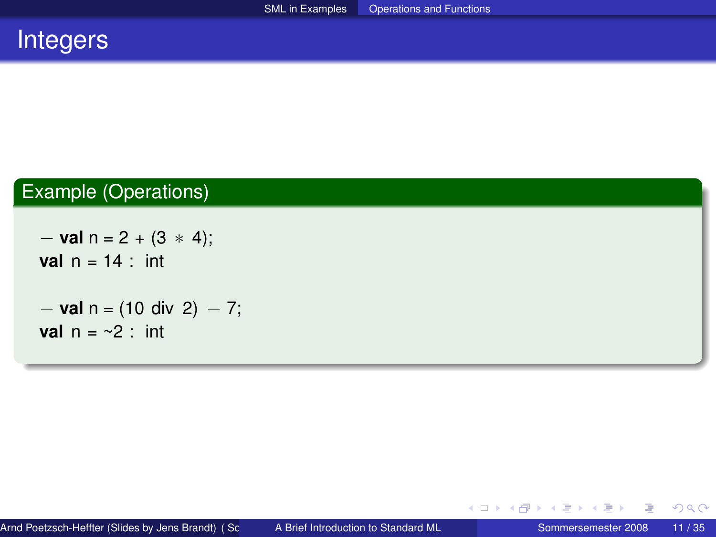

### Example (Operations)

```
− val n = 2 + (3 ∗ 4);
val n = 14 : int
− val n = (10 div 2) − 7;
val n = \sim 2 : int
```
重

 $2Q$ 

イロト イ御 トイヨ トイヨ トー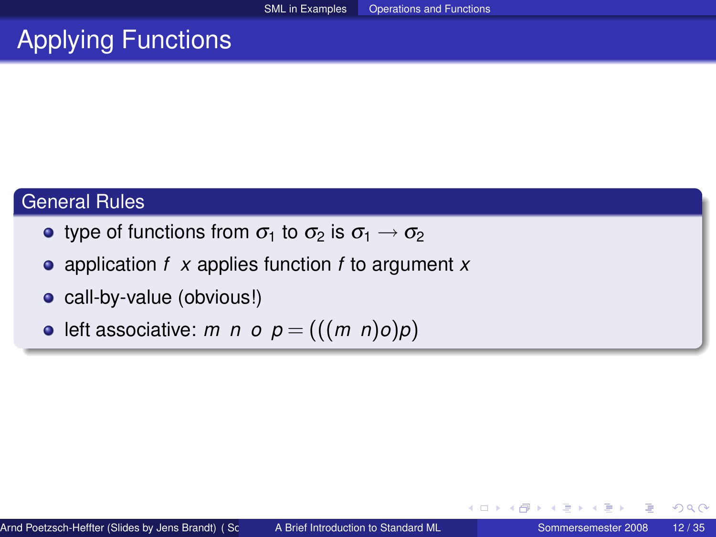# Applying Functions

### General Rules

- type of functions from  $\sigma_1$  to  $\sigma_2$  is  $\sigma_1 \rightarrow \sigma_2$
- application *f x* applies function *f* to argument *x*
- call-by-value (obvious!)
- left associative: *m n o*  $p = (((m \ n)o)p)$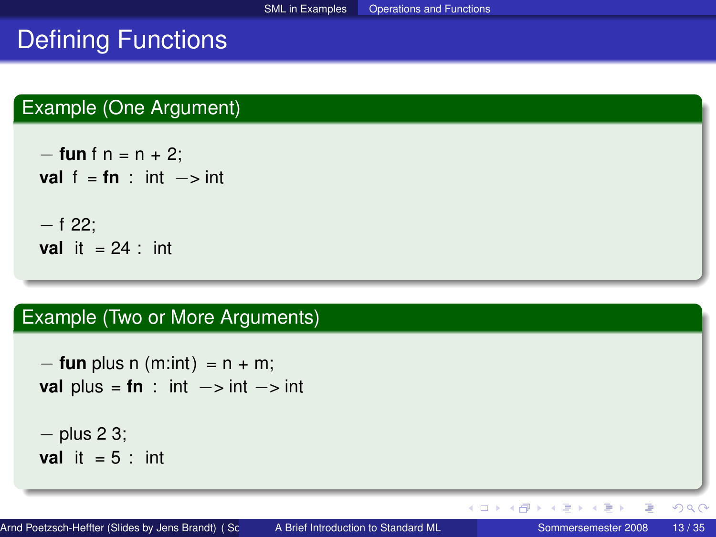# Defining Functions

### Example (One Argument)

− **fun** f n = n + 2; **val**  $f = fn$  : int −> int − f 22; **val** it  $= 24$  : int

#### Example (Two or More Arguments)

 $-$  **fun** plus n (m:int) =  $n + m$ ; **val** plus =  $\tan$  : int  $\rightarrow$  int  $\rightarrow$  int − plus 2 3; **val** it  $= 5$  : int

重  $QQ$ 

イロト (個) (注) (注)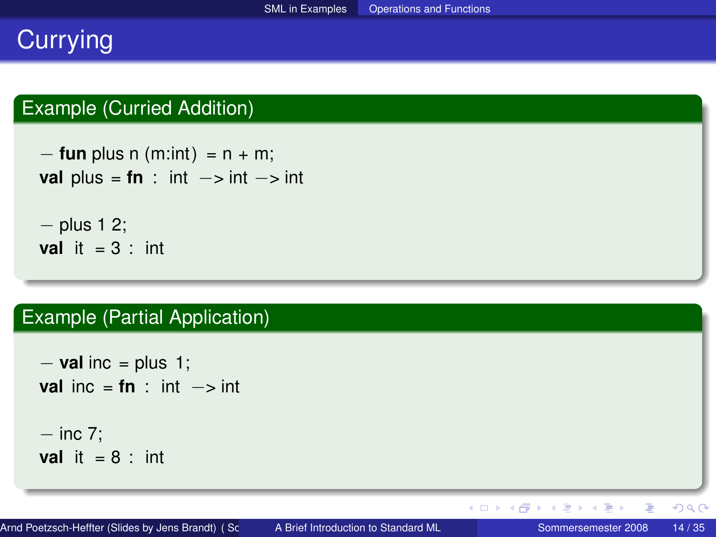# **Currying**

### Example (Curried Addition)

```
- fun plus n (m:int) = n + m;
val plus = \tan : int \rightarrow int \rightarrow int
− plus 1 2;
val it = 3 : int
```
#### Example (Partial Application)

```
− val inc = plus 1;
val inc = f_n : int \rightarrow int
− inc 7;
val it = 8 : int
```
目

 $QQ$ 

イロト イ母 トイヨ トイヨ ト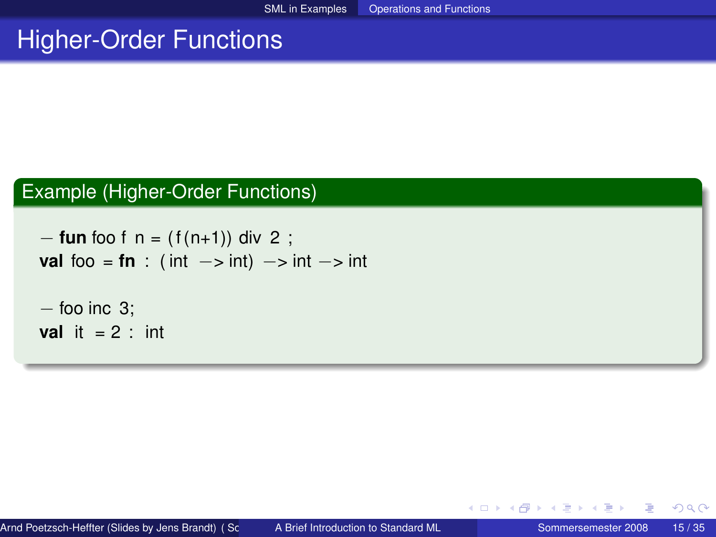# Higher-Order Functions

#### Example (Higher-Order Functions)

```
− fun foo f n = ( f (n+1)) div 2 ;
val foo = fn : ( int \rightarrow int) \rightarrow int \rightarrow int
- foo inc 3;
val it = 2 : int
```
イロト イ母 トイヨ トイヨト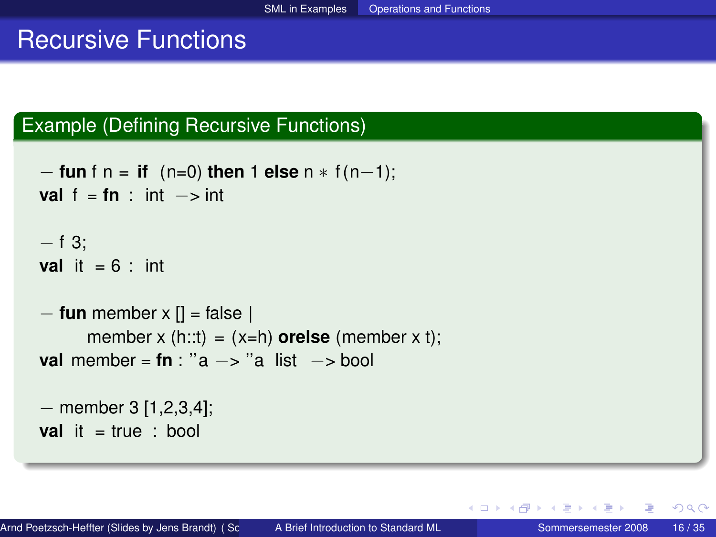### Recursive Functions

#### Example (Defining Recursive Functions)

```
− fun f n = if (n=0) then 1 else n ∗ f (n−1);
val f = fn : int \rightarrow int
- f 3:
val it = 6 : int
− fun member x [] = false |
      member x (h::t) = (x=h) orelse (member x t);
val member = fn : "a −> "a list −> bool
− member 3 [1,2,3,4];
```
**val** it = true : bool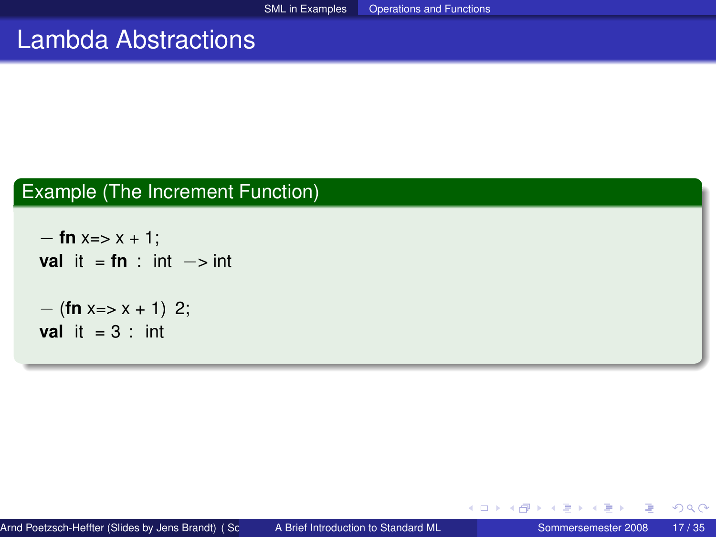### Lambda Abstractions

### Example (The Increment Function)

```
− fn x=> x + 1;
val it = f_n : int \rightarrow int
− (fn x=> x + 1) 2;
val it = 3 : int
```
 $QQ$ 

**K ロ ト K 伊 ト K ヨ ト**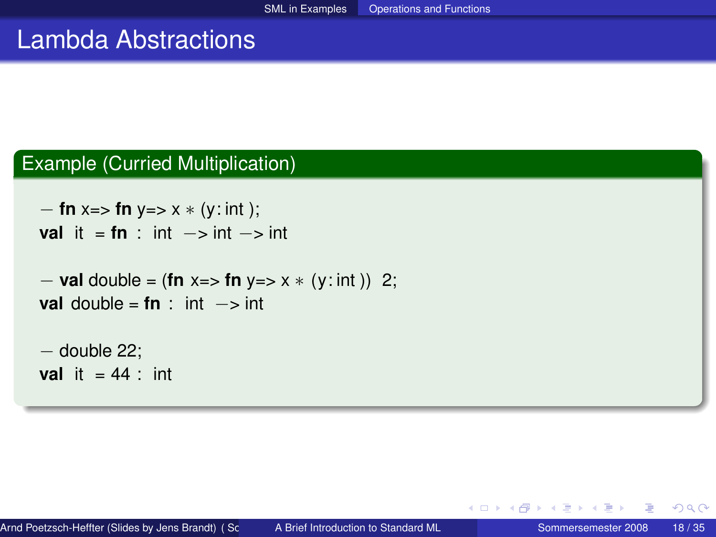### Lambda Abstractions

#### Example (Curried Multiplication)

```
− fn x=> fn y=> x ∗ (y: int );
val it = f_n int \rightarrow int \rightarrow int
```

```
− val double = (fn x=> fn y=> x ∗ (y: int )) 2;
val double = f<b>n</b> : int \rightarrow int
```

```
− double 22;
val it = 44 : int
```
イヨト

∢ □ ▶ ∢ 何 ▶ ∢ ∃ ▶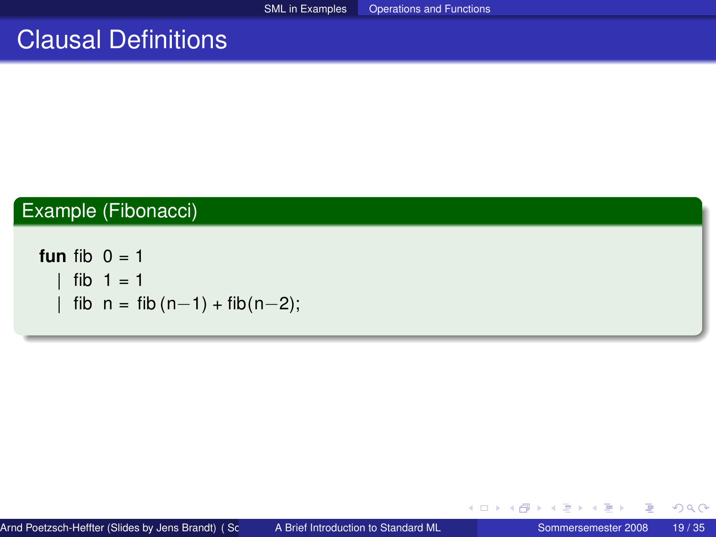### Clausal Definitions

### Example (Fibonacci)

**fun** fib  $0 = 1$  $fib 1 = 1$  $\text{fib } n = \text{fib } (n-1) + \text{fib } (n-2);$ 

 $2Q$ 

イロト (個) (注) (注)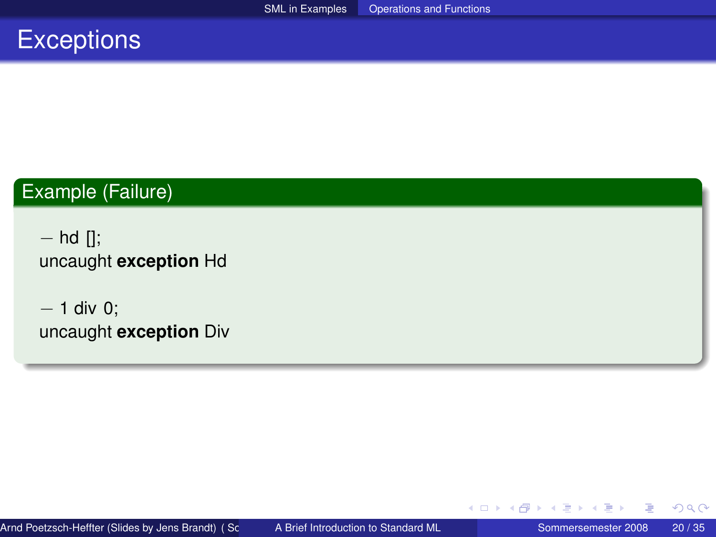# **Exceptions**

### Example (Failure)

− hd []; uncaught **exception** Hd

− 1 div 0; uncaught **exception** Div

扂

 $2Q$ 

イロト (個) (注) (注)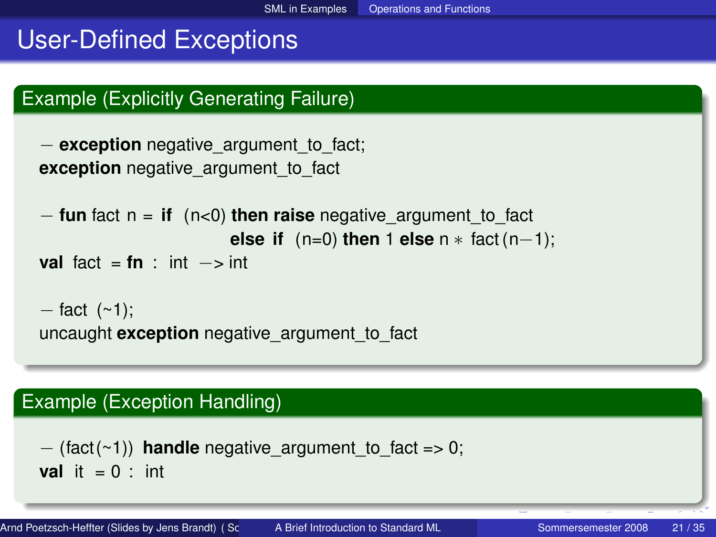# User-Defined Exceptions

### Example (Explicitly Generating Failure)

```
− exception negative_argument_to_fact;
exception negative argument to fact
```

```
− fun fact n = if (n<0) then raise negative_argument_to_fact
                       else if (n=0) then 1 else n ∗ fact (n−1);
```

```
val fact = \tan : int \rightarrow int
```

```
- fact (~1);
uncaught exception negative_argument_to_fact
```
### Example (Exception Handling)

```
-(\text{fact}(\sim 1)) handle negative argument to fact => 0;
val it = 0 : int
```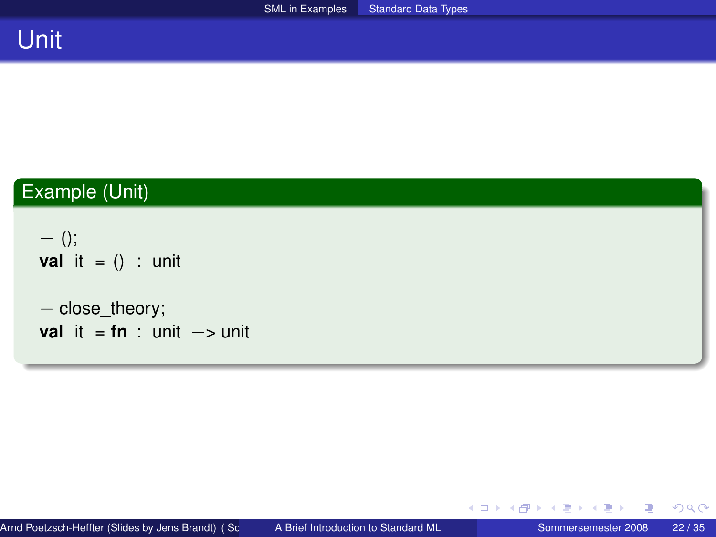### Example (Unit)

 $-$  (); **val** it =  $()$  : unit

```
− close_theory;
val it = f_n : unit \rightarrow unit
```
目

イロト イ部 トイモ トイモト

<span id="page-21-0"></span> $299$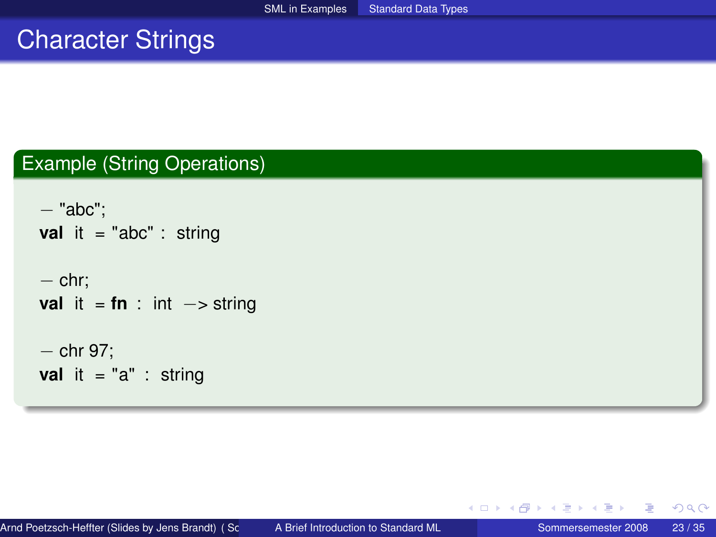### Character Strings

### Example (String Operations)

```
− "abc";
val it = "abc" : string
− chr;
val it = \tan : int \rightarrow string
− chr 97;
val it = "a" : string
```
メロトメ 御 トメ ミトメ ミト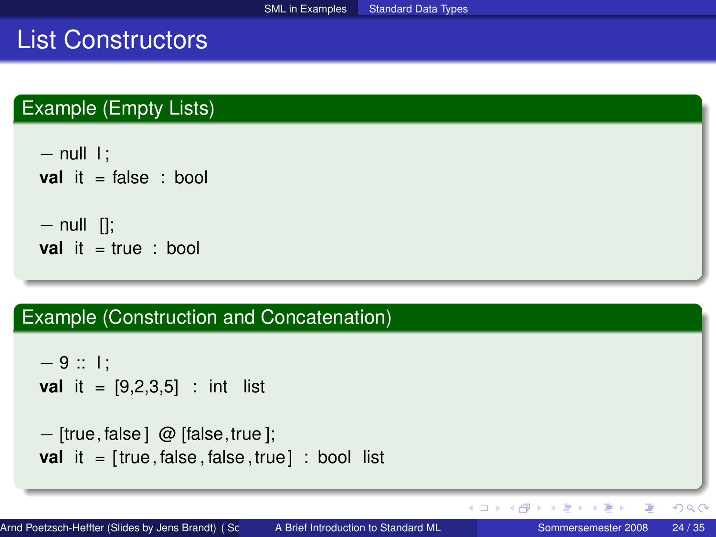### List Constructors

### Example (Empty Lists)

```
- null \vdotsval it = false : bool
- null [];
val it = true : bool
```
#### Example (Construction and Concatenation)

```
-9 :: l :
val it = [9,2,3,5] : int list
− [true, false ] @ [false,true ];
```

```
val it = [true, false, false, true]: bool list
```
 $QQ$ 

イロト イ母 トイヨ トイヨ トーヨ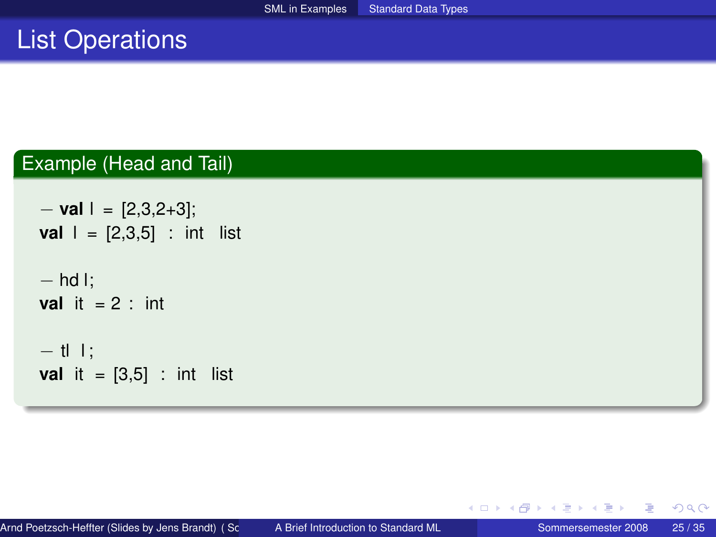# List Operations

### Example (Head and Tail)

```
− val l = [2,3,2+3];
val | = [2,3,5] : int list
− hd l;
val it = 2 : int
- tl l;
val it = [3,5] : int list
```
重

 $2Q$ 

イロト イ御 トイヨ トイヨ トー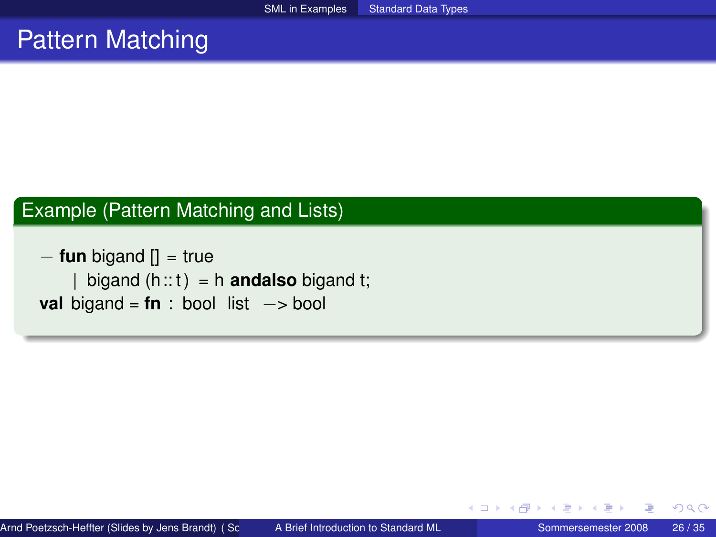### Pattern Matching

### Example (Pattern Matching and Lists)

− **fun** bigand [] = true  $bigand (h::t) = h$  **andalso** bigand t; **val** bigand = **fn** : bool list −> bool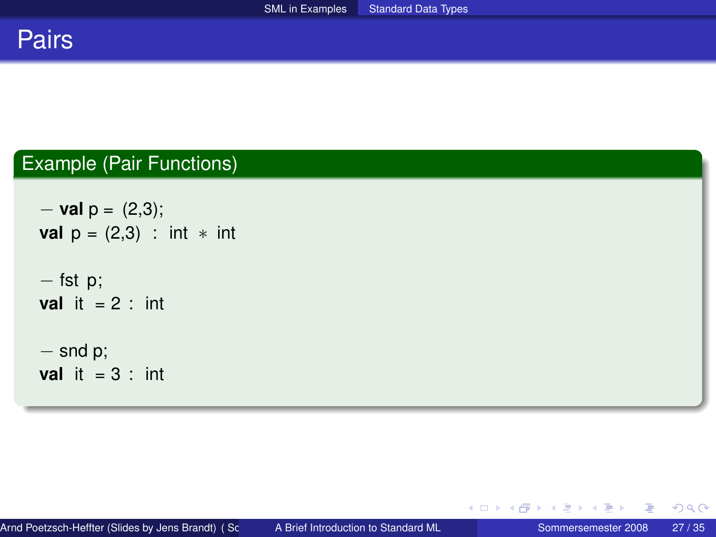

### Example (Pair Functions)

```
− val p = (2,3);
val p = (2,3) : int * int
− fst p;
val it = 2 : int
− snd p;
val it = 3 : int
```
目

 $2Q$ 

イロト イ部 トイモ トイモト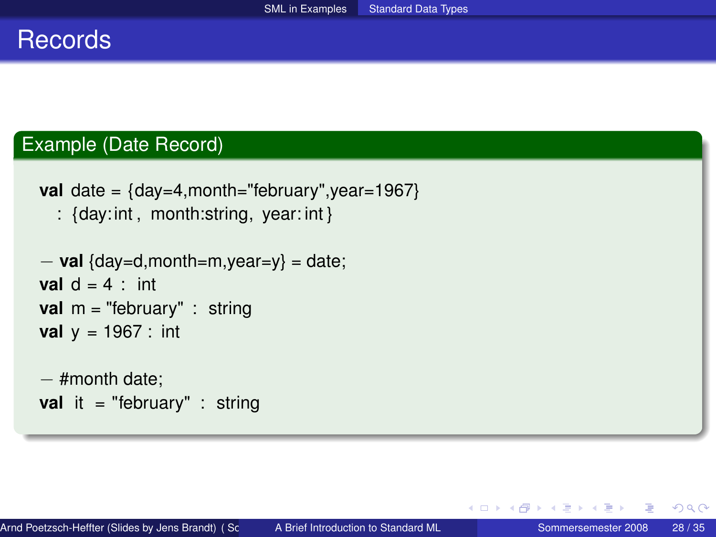### **Records**

### Example (Date Record)

```
val date = {day=4,month="february",year=1967}
```
: {day: int , month:string, year: int }

```
− val {day=d,month=m,year=y} = date;
val d = 4 \cdot int
val m = "february" : string
val y = 1967 : int
```

```
− #month date;
val it = "february" : string
```
イロト イ母 トイヨ トイヨト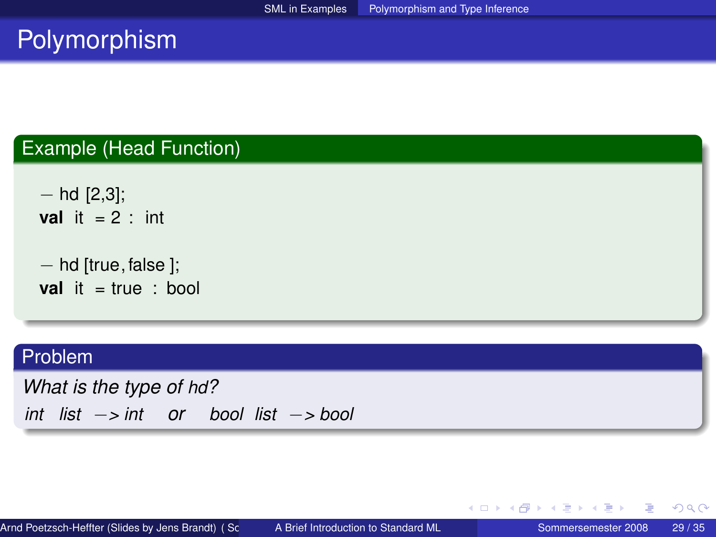# **Polymorphism**

#### Example (Head Function)

 $-$  hd [2,3]; **val** it  $= 2$  : int

```
− hd [true, false ];
val it = true : bool
```
#### Problem

*What is the type of hd? int list* −*> int or bool list* −*> bool*

重

<span id="page-28-0"></span> $2Q$ 

イロト イ部 トイモ トイモト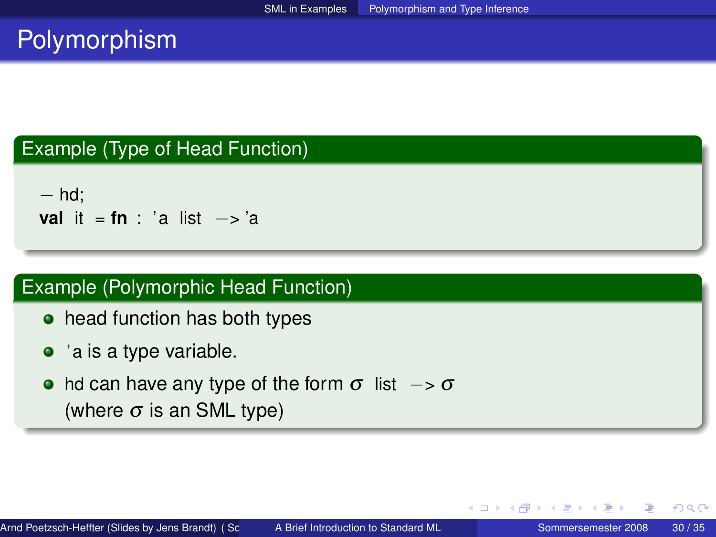# Polymorphism

#### Example (Type of Head Function)

− hd; **val** it = **fn** : 'a list −> 'a

### Example (Polymorphic Head Function)

- head function has both types
- $\bullet$  'a is a type variable.
- hd can have any type of the form  $\sigma$  list  $\rightarrow \sigma$ (where  $\sigma$  is an SML type)

イロト イ母 トイヨ トイヨト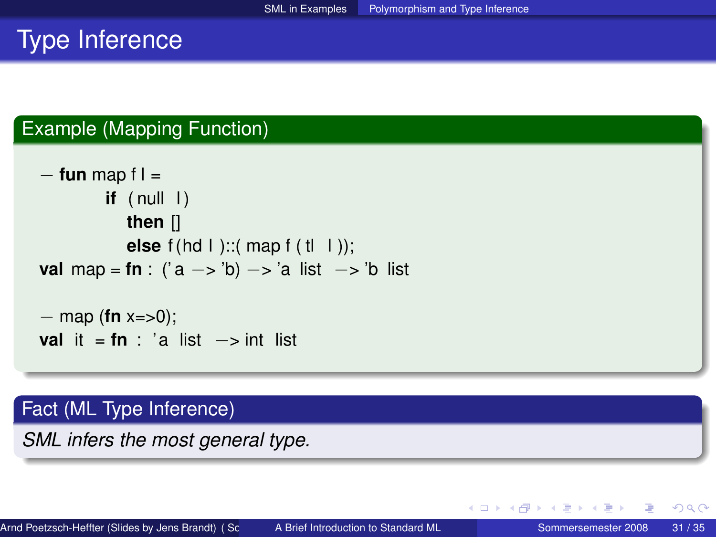# Type Inference

### Example (Mapping Function)

```
− fun map f l =
        if (nul 1)then []
          else f(hd I)::( map f (tl I));
val map = fn : ('a −> 'b) −> 'a list −> 'b list
− map (fn x=>0);
```

```
val it = \tan : 'a list \rightarrow int list
```
#### Fact (ML Type Inference)

*SML infers the most general type.*

∢ ロ ▶ ∢ 母 ▶ ∢ ヨ ▶ ∢ ヨ ▶ ...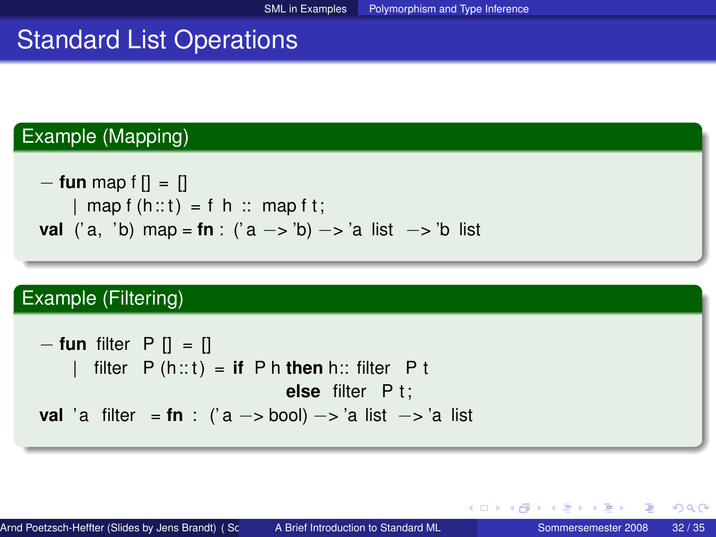### Standard List Operations

### Example (Mapping)

```
− fun map f [] = []
    | map f (h:: t) = f h :: map f t;
val ('a, 'b) map = fn : ('a −> 'b) −> 'a list −> 'b list
```
#### Example (Filtering)

\n
$$
\begin{aligned}\n -\text{fun filter } P [] &= [] \\
 | & \text{filter } P \text{ (h::t)} = \text{if } P \text{ h then h:: filter } P \text{ t} \\
 \text{else filter } P \text{ t}; \\
 \text{val 'a filter } &= \text{fn : ('a -> bool)} -> \text{'a list } -> \text{'a list}\n \end{aligned}
$$
\n

 $2Q$ 

イロト イ部ト イヨト イヨト 一番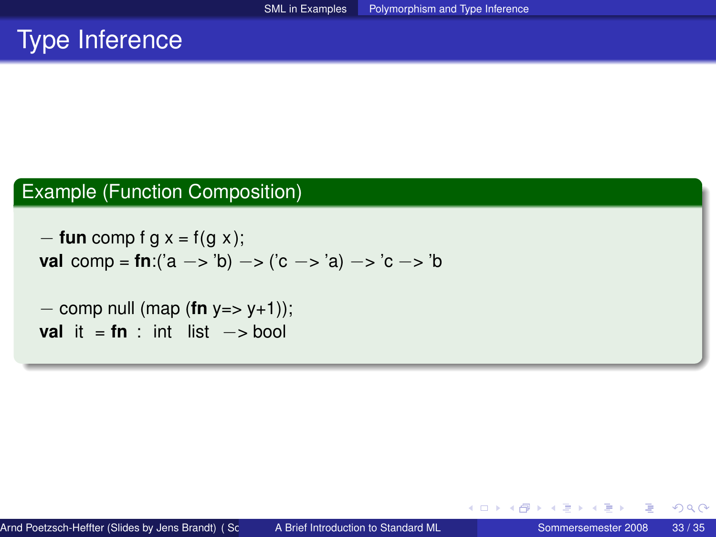### Type Inference

### Example (Function Composition)

− **fun** comp f g x = f(g x ); **val** comp = **fn**:('a −> 'b) −> ('c −> 'a) −> 'c −> 'b

− comp null (map (**fn** y=> y+1)); **val** it =  $f_n$  : int list  $\rightarrow$  bool

 $\leftarrow$   $\equiv$ 

**∢ロ ▶ ∢ 母 ▶ ∢ ヨ ▶**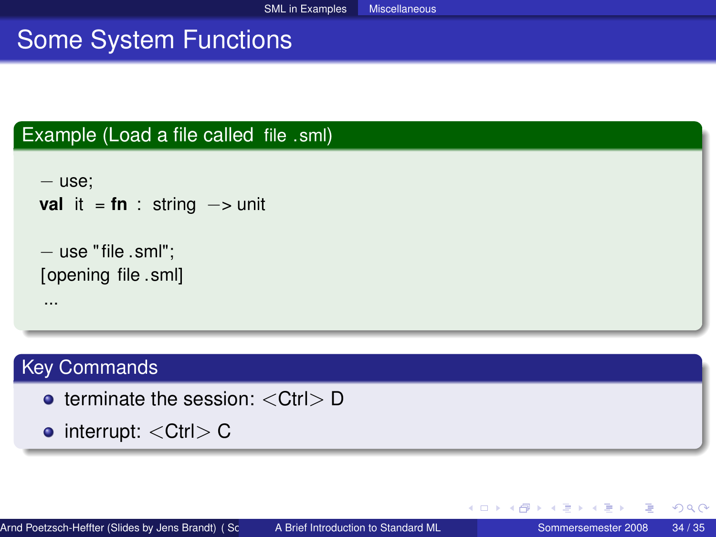# Some System Functions

#### Example (Load a file called file .sml)

```
− use;
val it = \mathbf{f} \cdot \mathbf{n} : string \rightarrow unit
− use " file .sml";
[opening file .sml]
 ...
```
### Key Commands

- $\bullet$  terminate the session:  $\lt C$ trl $> D$
- $\bullet$  interrupt:  $\lt C$ trl $> C$

<span id="page-33-0"></span>∢ ロ ▶ ∢ 御 ▶ ∢ 重 ▶ ∢ 重 ▶